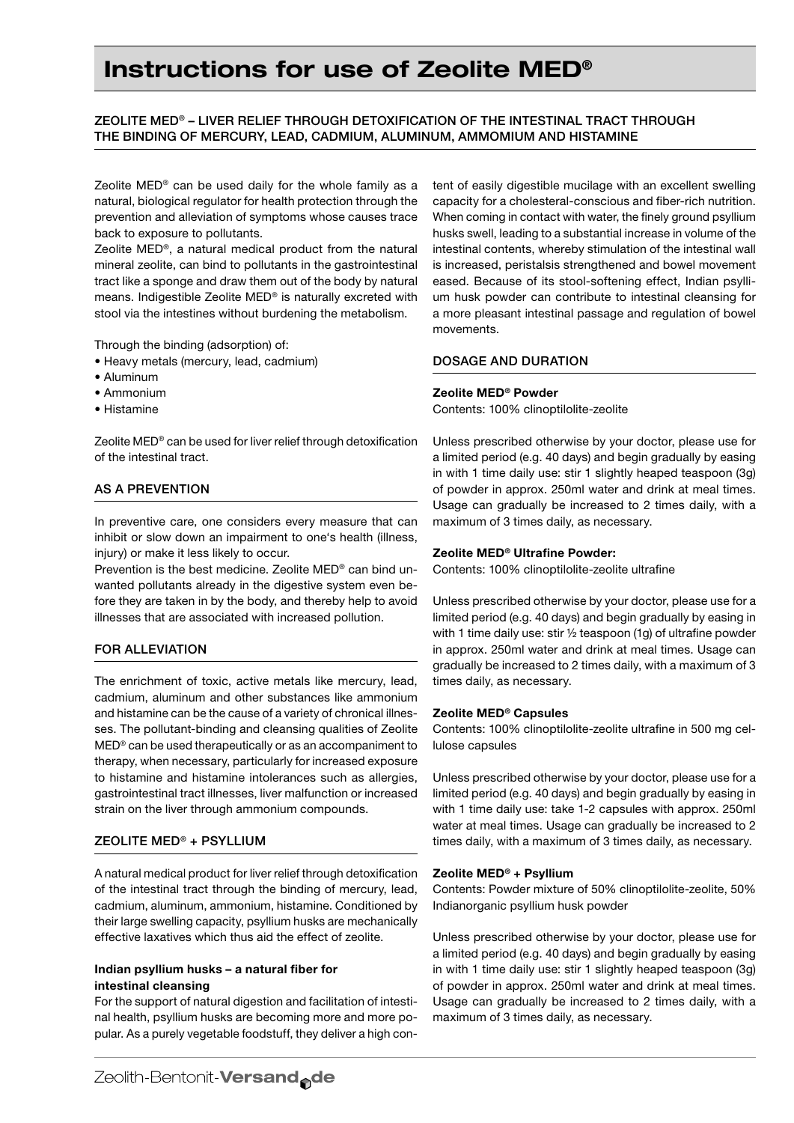# Instructions for use of Zeolite MED®

# Zeolite MED® – liver relief through detoxification of the intestinal tract through the binding of mercury, lead, cadmium, aluminum, ammomium and histamine

Zeolite MED® can be used daily for the whole family as a natural, biological regulator for health protection through the prevention and alleviation of symptoms whose causes trace back to exposure to pollutants.

Zeolite MED®, a natural medical product from the natural mineral zeolite, can bind to pollutants in the gastrointestinal tract like a sponge and draw them out of the body by natural means. Indigestible Zeolite MED® is naturally excreted with stool via the intestines without burdening the metabolism.

Through the binding (adsorption) of:

- • Heavy metals (mercury, lead, cadmium)
- • Aluminum
- • Ammonium
- • Histamine

Zeolite MED® can be used for liver relief through detoxification of the intestinal tract.

# As a prevention

In preventive care, one considers every measure that can inhibit or slow down an impairment to one's health (illness, injury) or make it less likely to occur.

Prevention is the best medicine. Zeolite MED® can bind unwanted pollutants already in the digestive system even before they are taken in by the body, and thereby help to avoid illnesses that are associated with increased pollution.

## For alleviation

The enrichment of toxic, active metals like mercury, lead, cadmium, aluminum and other substances like ammonium and histamine can be the cause of a variety of chronical illnesses. The pollutant-binding and cleansing qualities of Zeolite MED® can be used therapeutically or as an accompaniment to therapy, when necessary, particularly for increased exposure to histamine and histamine intolerances such as allergies, gastrointestinal tract illnesses, liver malfunction or increased strain on the liver through ammonium compounds.

## Zeolite MED® + Psyllium

A natural medical product for liver relief through detoxification of the intestinal tract through the binding of mercury, lead, cadmium, aluminum, ammonium, histamine. Conditioned by their large swelling capacity, psyllium husks are mechanically effective laxatives which thus aid the effect of zeolite.

## Indian psyllium husks – a natural fiber for intestinal cleansing

For the support of natural digestion and facilitation of intestinal health, psyllium husks are becoming more and more popular. As a purely vegetable foodstuff, they deliver a high content of easily digestible mucilage with an excellent swelling capacity for a cholesteral-conscious and fiber-rich nutrition. When coming in contact with water, the finely ground psyllium husks swell, leading to a substantial increase in volume of the intestinal contents, whereby stimulation of the intestinal wall is increased, peristalsis strengthened and bowel movement eased. Because of its stool-softening effect, Indian psyllium husk powder can contribute to intestinal cleansing for a more pleasant intestinal passage and regulation of bowel movements.

## Dosage and duration

## Zeolite MED® Powder

Contents: 100% clinoptilolite-zeolite

Unless prescribed otherwise by your doctor, please use for a limited period (e.g. 40 days) and begin gradually by easing in with 1 time daily use: stir 1 slightly heaped teaspoon (3g) of powder in approx. 250ml water and drink at meal times. Usage can gradually be increased to 2 times daily, with a maximum of 3 times daily, as necessary.

## Zeolite MED® Ultrafine Powder:

Contents: 100% clinoptilolite-zeolite ultrafine

Unless prescribed otherwise by your doctor, please use for a limited period (e.g. 40 days) and begin gradually by easing in with 1 time daily use: stir ½ teaspoon (1g) of ultrafine powder in approx. 250ml water and drink at meal times. Usage can gradually be increased to 2 times daily, with a maximum of 3 times daily, as necessary.

#### Zeolite MED® Capsules

Contents: 100% clinoptilolite-zeolite ultrafine in 500 mg cellulose capsules

Unless prescribed otherwise by your doctor, please use for a limited period (e.g. 40 days) and begin gradually by easing in with 1 time daily use: take 1-2 capsules with approx. 250ml water at meal times. Usage can gradually be increased to 2 times daily, with a maximum of 3 times daily, as necessary.

#### Zeolite MED® + Psyllium

Contents: Powder mixture of 50% clinoptilolite-zeolite, 50% Indianorganic psyllium husk powder

Unless prescribed otherwise by your doctor, please use for a limited period (e.g. 40 days) and begin gradually by easing in with 1 time daily use: stir 1 slightly heaped teaspoon (3g) of powder in approx. 250ml water and drink at meal times. Usage can gradually be increased to 2 times daily, with a maximum of 3 times daily, as necessary.